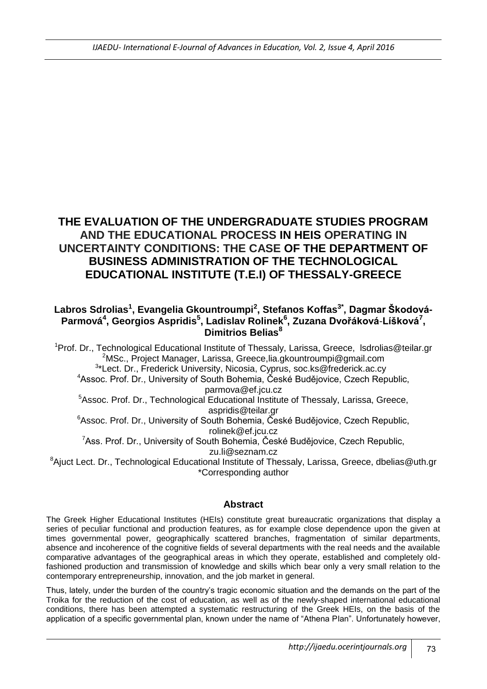# **THE EVALUATION OF THE UNDERGRADUATE STUDIES PROGRAM AND THE EDUCATIONAL PROCESS IN HEIS OPERATING IN UNCERTAINTY CONDITIONS: THE CASE OF THE DEPARTMENT OF BUSINESS ADMINISTRATION OF THE TECHNOLOGICAL EDUCATIONAL INSTITUTE (T.E.I) OF THESSALY-GREECE**

## **Labros Sdrolias<sup>1</sup> , Evangelia Gkountroumpi<sup>2</sup> , Stefanos Koffas3\* , Dagmar Škodová-Parmová<sup>4</sup> , Georgios Aspridis<sup>5</sup> , Ladislav Rolinek<sup>6</sup> , Zuzana Dvořáková**-**Líšková<sup>7</sup> , Dimitrios Belias<sup>8</sup>**

<sup>1</sup>Prof. Dr., Technological Educational Institute of Thessaly, Larissa, Greece, Isdrolias@teilar.gr  $2^2$ MSc., Project Manager, Larissa, Greece, lia.gkountroumpi@gmail.com <sup>3\*</sup>Lect. Dr., Frederick University, Nicosia, Cyprus, [soc.ks@frederick.ac.cy](mailto:soc.ks@frederick.ac.cy) <sup>4</sup>Assoc. Prof. Dr., University of South Bohemia, České Budějovice, Czech Republic, [parmova@ef.jcu.cz](mailto:parmova@ef.jcu.cz) <sup>5</sup>Assoc. Prof. Dr., Technological Educational Institute of Thessaly, Larissa, Greece,

[aspridis@teilar.gr](mailto:aspridis@teilar.gr)

<sup>6</sup>Assoc. Prof. Dr., University of South Bohemia, České Budějovice, Czech Republic, [rolinek@ef.jcu.cz](mailto:rolinek@ef.jcu.cz)

<sup>7</sup>Ass. Prof. Dr., University of South Bohemia, České Budějovice, Czech Republic, [zu.li@seznam.cz](mailto:zu.li@seznam.cz)

<sup>8</sup> Ajuct Lect. Dr., Technological Educational Institute of Thessaly, Larissa, Greece, [dbelias@uth.gr](mailto:dbelias@uth.gr) \*Corresponding author

## **Abstract**

The Greek Higher Educational Institutes (HEIs) constitute great bureaucratic organizations that display a series of peculiar functional and production features, as for example close dependence upon the given at times governmental power, geographically scattered branches, fragmentation of similar departments, absence and incoherence of the cognitive fields of several departments with the real needs and the available comparative advantages of the geographical areas in which they operate, established and completely oldfashioned production and transmission of knowledge and skills which bear only a very small relation to the contemporary entrepreneurship, innovation, and the job market in general.

Thus, lately, under the burden of the country's tragic economic situation and the demands on the part of the Troika for the reduction of the cost of education, as well as of the newly-shaped international educational conditions, there has been attempted a systematic restructuring of the Greek HEIs, on the basis of the application of a specific governmental plan, known under the name of "Athena Plan". Unfortunately however,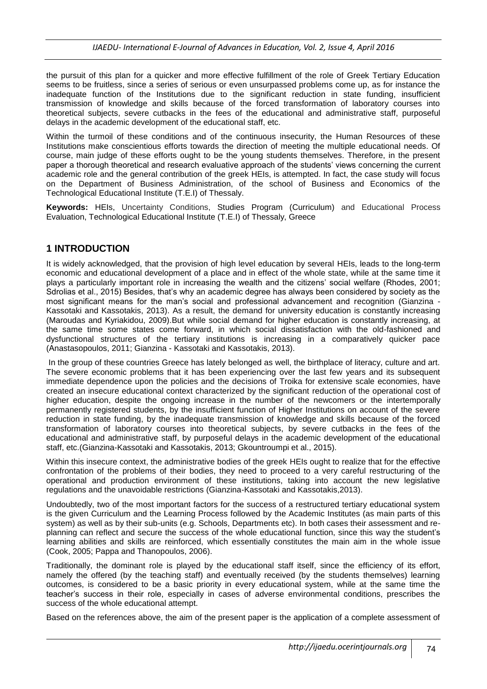the pursuit of this plan for a quicker and more effective fulfillment of the role of Greek Tertiary Education seems to be fruitless, since a series of serious or even unsurpassed problems come up, as for instance the inadequate function of the Institutions due to the significant reduction in state funding, insufficient transmission of knowledge and skills because of the forced transformation of laboratory courses into theoretical subjects, severe cutbacks in the fees of the educational and administrative staff, purposeful delays in the academic development of the educational staff, etc.

Within the turmoil of these conditions and of the continuous insecurity, the Human Resources of these Institutions make conscientious efforts towards the direction of meeting the multiple educational needs. Of course, main judge of these efforts ought to be the young students themselves. Therefore, in the present paper a thorough theoretical and research evaluative approach of the students' views concerning the current academic role and the general contribution of the greek HEIs, is attempted. In fact, the case study will focus on the Department of Business Administration, of the school of Business and Economics of the Technological Educational Institute (T.E.I) of Thessaly.

**Keywords:** HEIs, Uncertainty Conditions, Studies Program (Curriculum) and Educational Process Evaluation, Technological Educational Institute (T.E.I) of Thessaly, Greece

## **1 INTRODUCTION**

It is widely acknowledged, that the provision of high level education by several HEIs, leads to the long-term economic and educational development of a place and in effect of the whole state, while at the same time it plays a particularly important role in increasing the wealth and the citizens' social welfare (Rhodes, 2001; Sdrolias et al., 2015) Besides, that's why an academic degree has always been considered by society as the most significant means for the man's social and professional advancement and recognition (Gianzina - Kassotaki and Kassotakis, 2013). As a result, the demand for university education is constantly increasing (Maroudas and Κyriakidou, 2009).But while social demand for higher education is constantly increasing, at the same time some states come forward, in which social dissatisfaction with the old-fashioned and dysfunctional structures of the tertiary institutions is increasing in a comparatively quicker pace (Αnastasopoulos, 2011; Gianzina - Kassotaki and Kassotakis, 2013).

In the group of these countries Greece has lately belonged as well, the birthplace of literacy, culture and art. The severe economic problems that it has been experiencing over the last few years and its subsequent immediate dependence upon the policies and the decisions of Troika for extensive scale economies, have created an insecure educational context characterized by the significant reduction of the operational cost of higher education, despite the ongoing increase in the number of the newcomers or the intertemporally permanently registered students, by the insufficient function of Higher Institutions on account of the severe reduction in state funding, by the inadequate transmission of knowledge and skills because of the forced transformation of laboratory courses into theoretical subjects, by severe cutbacks in the fees of the educational and administrative staff, by purposeful delays in the academic development of the educational staff, etc.(Gianzina-Kassotaki and Kassotakis, 2013; Gkountroumpi et al., 2015).

Within this insecure context, the administrative bodies of the greek HEIs ought to realize that for the effective confrontation of the problems of their bodies, they need to proceed to a very careful restructuring of the operational and production environment of these institutions, taking into account the new legislative regulations and the unavoidable restrictions (Gianzina-Kassotaki and Kassotakis,2013).

Undoubtedly, two of the most important factors for the success of a restructured tertiary educational system is the given Curriculum and the Learning Process followed by the Academic Institutes (as main parts of this system) as well as by their sub-units (e.g. Schools, Departments etc). In both cases their assessment and replanning can reflect and secure the success of the whole educational function, since this way the student's learning abilities and skills are reinforced, which essentially constitutes the main aim in the whole issue (Cook, 2005; Pappa and Thanopoulos, 2006).

Traditionally, the dominant role is played by the educational staff itself, since the efficiency of its effort, namely the offered (by the teaching staff) and eventually received (by the students themselves) learning outcomes, is considered to be a basic priority in every educational system, while at the same time the teacher's success in their role, especially in cases of adverse environmental conditions, prescribes the success of the whole educational attempt.

Based on the references above, the aim of the present paper is the application of a complete assessment of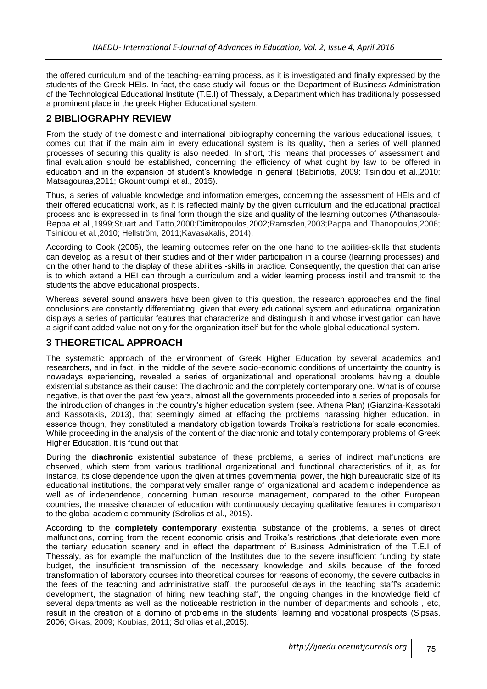the offered curriculum and of the teaching-learning process, as it is investigated and finally expressed by the students of the Greek HEIs. In fact, the case study will focus on the Department of Business Administration of the Technological Educational Institute (T.E.I) of Thessaly, a Department which has traditionally possessed a prominent place in the greek Higher Educational system.

## **2 BIBLIOGRAPHY REVIEW**

From the study of the domestic and international bibliography concerning the various educational issues, it comes out that if the main aim in every educational system is its quality**,** then a series of well planned processes of securing this quality is also needed. In short, this means that processes of assessment and final evaluation should be established, concerning the efficiency of what ought by law to be offered in education and in the expansion of student's knowledge in general (Babiniotis, 2009; Tsinidou et al.,2010; Matsagouras,2011; Gkountroumpi et al., 2015).

Thus, a series of valuable knowledge and information emerges, concerning the assessment of HEIs and of their offered educational work, as it is reflected mainly by the given curriculum and the educational practical process and is expressed in its final form though the size and quality of the learning outcomes (Athanasoula-Reppa et al.,1999;Stuart and Tatto,2000;Dimitropoulos,2002;Ramsden,2003;Pappa and Thanopoulos,2006; Tsinidou et al.,2010; Hellström, 2011;Κavasakalis, 2014).

According to Cook (2005), the learning outcomes refer on the one hand to the abilities-skills that students can develop as a result of their studies and of their wider participation in a course (learning processes) and on the other hand to the display of these abilities -skills in practice. Consequently, the question that can arise is to which extend a HEI can through a curriculum and a wider learning process instill and transmit to the students the above educational prospects.

Whereas several sound answers have been given to this question, the research approaches and the final conclusions are constantly differentiating, given that every educational system and educational organization displays a series of particular features that characterize and distinguish it and whose investigation can have a significant added value not only for the organization itself but for the whole global educational system.

## **3 THEORETICAL APPROACH**

The systematic approach of the environment of Greek Higher Education by several academics and researchers, and in fact, in the middle of the severe socio-economic conditions of uncertainty the country is nowadays experiencing, revealed a series of organizational and operational problems having a double existential substance as their cause: The diachronic and the completely contemporary one. What is of course negative, is that over the past few years, almost all the governments proceeded into a series of proposals for the introduction of changes in the country's higher education system (see. Athena Plan) (Gianzina-Kassotaki and Kassotakis, 2013), that seemingly aimed at effacing the problems harassing higher education, in essence though, they constituted a mandatory obligation towards Troika's restrictions for scale economies. While proceeding in the analysis of the content of the diachronic and totally contemporary problems of Greek Higher Education, it is found out that:

During the **diachronic** existential substance of these problems, a series of indirect malfunctions are observed, which stem from various traditional organizational and functional characteristics of it, as for instance, its close dependence upon the given at times governmental power, the high bureaucratic size of its educational institutions, the comparatively smaller range of organizational and academic independence as well as of independence, concerning human resource management, compared to the other European countries, the massive character of education with continuously decaying qualitative features in comparison to the global academic community (Sdrolias et al., 2015).

According to the **completely contemporary** existential substance of the problems, a series of direct malfunctions, coming from the recent economic crisis and Troika's restrictions ,that deteriorate even more the tertiary education scenery and in effect the department of Business Administration of the Τ.Ε.Ι of Thessaly, as for example the malfunction of the Institutes due to the severe insufficient funding by state budget, the insufficient transmission of the necessary knowledge and skills because of the forced transformation of laboratory courses into theoretical courses for reasons of economy, the severe cutbacks in the fees of the teaching and administrative staff, the purposeful delays in the teaching staff's academic development, the stagnation of hiring new teaching staff, the ongoing changes in the knowledge field of several departments as well as the noticeable restriction in the number of departments and schools , etc, result in the creation of a domino of problems in the students' learning and vocational prospects (Sipsas, 2006; Gikas, 2009; Koubias, 2011; Sdrolias et al.,2015).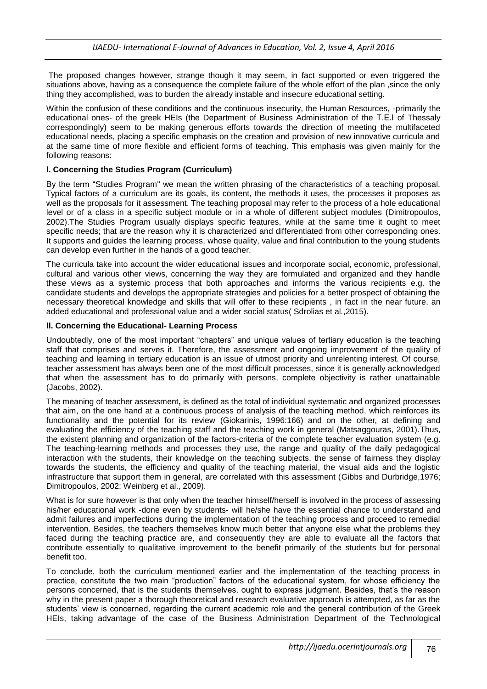The proposed changes however, strange though it may seem, in fact supported or even triggered the situations above, having as a consequence the complete failure of the whole effort of the plan ,since the only thing they accomplished, was to burden the already instable and insecure educational setting.

Within the confusion of these conditions and the continuous insecurity, the Human Resources, -primarily the educational ones- of the greek HEIs (the Department of Business Administration of the Τ.Ε.Ι of Thessaly correspondingly) seem to be making generous efforts towards the direction of meeting the multifaceted educational needs, placing a specific emphasis on the creation and provision of new innovative curricula and at the same time of more flexible and efficient forms of teaching. This emphasis was given mainly for the following reasons:

#### **Ι. Concerning the Studies Program (Curriculum)**

By the term "Studies Program" we mean the written phrasing of the characteristics of a teaching proposal. Typical factors of a curriculum are its goals, its content, the methods it uses, the processes it proposes as well as the proposals for it assessment. The teaching proposal may refer to the process of a hole educational level or of a class in a specific subject module or in a whole of different subject modules (Dimitropoulos, 2002).The Studies Program usually displays specific features, while at the same time it ought to meet specific needs; that are the reason why it is characterized and differentiated from other corresponding ones. It supports and guides the learning process, whose quality, value and final contribution to the young students can develop even further in the hands of a good teacher.

The curricula take into account the wider educational issues and incorporate social, economic, professional, cultural and various other views, concerning the way they are formulated and organized and they handle these views as a systemic process that both approaches and informs the various recipients e.g. the candidate students and develops the appropriate strategies and policies for a better prospect of obtaining the necessary theoretical knowledge and skills that will offer to these recipients , in fact in the near future, an added educational and professional value and a wider social status( Sdrolias et al.,2015).

#### **ΙΙ. Concerning the Educational- Learning Process**

Undoubtedly, one of the most important "chapters" and unique values of tertiary education is the teaching staff that comprises and serves it. Therefore, the assessment and ongoing improvement of the quality of teaching and learning in tertiary education is an issue of utmost priority and unrelenting interest. Of course, teacher assessment has always been one of the most difficult processes, since it is generally acknowledged that when the assessment has to do primarily with persons, complete objectivity is rather unattainable (Jacobs, 2002).

The meaning of teacher assessment**,** is defined as the total of individual systematic and organized processes that aim, on the one hand at a continuous process of analysis of the teaching method, which reinforces its functionality and the potential for its review (Giokarinis, 1996:166) and on the other, at defining and evaluating the efficiency of the teaching staff and the teaching work in general (Matsaggouras, 2001).Thus, the existent planning and organization of the factors-criteria of the complete teacher evaluation system (e.g. The teaching-learning methods and processes they use, the range and quality of the daily pedagogical interaction with the students, their knowledge on the teaching subjects, the sense of fairness they display towards the students, the efficiency and quality of the teaching material, the visual aids and the logistic infrastructure that support them in general, are correlated with this assessment (Gibbs and Durbridge,1976; Dimitropoulos, 2002; Weinberg et al., 2009).

What is for sure however is that only when the teacher himself/herself is involved in the process of assessing his/her educational work -done even by students- will he/she have the essential chance to understand and admit failures and imperfections during the implementation of the teaching process and proceed to remedial intervention. Besides, the teachers themselves know much better that anyone else what the problems they faced during the teaching practice are, and consequently they are able to evaluate all the factors that contribute essentially to qualitative improvement to the benefit primarily of the students but for personal benefit too.

To conclude, both the curriculum mentioned earlier and the implementation of the teaching process in practice, constitute the two main "production" factors of the educational system, for whose efficiency the persons concerned, that is the students themselves, ought to express judgment. Besides, that's the reason why in the present paper a thorough theoretical and research evaluative approach is attempted, as far as the students' view is concerned, regarding the current academic role and the general contribution of the Greek HEIs, taking advantage of the case of the Business Administration Department of the Technological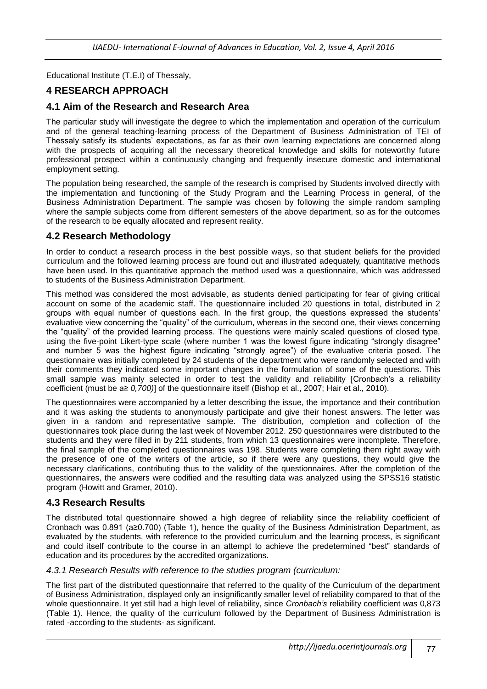Educational Institute (T.E.I) of Thessaly,

## **4 RESEARCH APPROACH**

### **4.1 Aim of the Research and Research Area**

The particular study will investigate the degree to which the implementation and operation of the curriculum and of the general teaching-learning process of the Department of Business Administration of TEI of Thessaly satisfy its students' expectations, as far as their own learning expectations are concerned along with the prospects of acquiring all the necessary theoretical knowledge and skills for noteworthy future professional prospect within a continuously changing and frequently insecure domestic and international employment setting.

The population being researched, the sample of the research is comprised by Students involved directly with the implementation and functioning of the Study Program and the Learning Process in general, of the Business Administration Department. The sample was chosen by following the simple random sampling where the sample subjects come from different semesters of the above department, so as for the outcomes of the research to be equally allocated and represent reality.

#### **4.2 Research Methodology**

In order to conduct a research process in the best possible ways, so that student beliefs for the provided curriculum and the followed learning process are found out and illustrated adequately, quantitative methods have been used. In this quantitative approach the method used was a questionnaire, which was addressed to students of the Business Administration Department.

This method was considered the most advisable, as students denied participating for fear of giving critical account on some of the academic staff. The questionnaire included 20 questions in total, distributed in 2 groups with equal number of questions each. In the first group, the questions expressed the students' evaluative view concerning the "quality" of the curriculum, whereas in the second one, their views concerning the "quality" of the provided learning process. The questions were mainly scaled questions of closed type, using the five-point Likert-type scale (where number 1 was the lowest figure indicating "strongly disagree" and number 5 was the highest figure indicating "strongly agree") of the evaluative criteria posed. The questionnaire was initially completed by 24 students of the department who were randomly selected and with their comments they indicated some important changes in the formulation of some of the questions. This small sample was mainly selected in order to test the validity and reliability [Cronbach's a reliability coefficient (must be a≥ *0,700)*] of the questionnaire itself (Bishop et al., 2007; Hair et al., 2010).

The questionnaires were accompanied by a letter describing the issue, the importance and their contribution and it was asking the students to anonymously participate and give their honest answers. The letter was given in a random and representative sample. The distribution, completion and collection of the questionnaires took place during the last week of November 2012. 250 questionnaires were distributed to the students and they were filled in by 211 students, from which 13 questionnaires were incomplete. Therefore, the final sample of the completed questionnaires was 198. Students were completing them right away with the presence of one of the writers of the article, so if there were any questions, they would give the necessary clarifications, contributing thus to the validity of the questionnaires. After the completion of the questionnaires, the answers were codified and the resulting data was analyzed using the SPSS16 statistic program (Howitt and Gramer, 2010).

#### **4.3 Research Results**

The distributed total questionnaire showed a high degree of reliability since the reliability coefficient of Cronbach was 0.891 (a≥0.700) (Table 1), hence the quality of the Business Administration Department, as evaluated by the students, with reference to the provided curriculum and the learning process, is significant and could itself contribute to the course in an attempt to achieve the predetermined "best" standards of education and its procedures by the accredited organizations.

#### *4.3.1 Research Results with reference to the studies program (curriculum:*

The first part of the distributed questionnaire that referred to the quality of the Curriculum of the department of Business Administration, displayed only an insignificantly smaller level of reliability compared to that of the whole questionnaire. It yet still had a high level of reliability, since *Cronbach's* reliability coefficient *was* 0,873 (Table 1). Hence, the quality of the curriculum followed by the Department of Business Administration is rated -according to the students- as significant.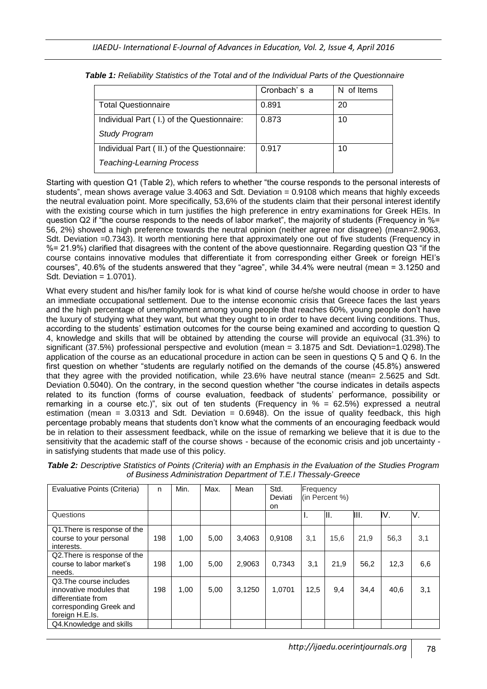|                                              | Cronbach's a | N of Items |
|----------------------------------------------|--------------|------------|
| <b>Total Questionnaire</b>                   | 0.891        | 20         |
| Individual Part ( I.) of the Questionnaire:  | 0.873        | 10         |
| <b>Study Program</b>                         |              |            |
| Individual Part ( II.) of the Questionnaire: | 0.917        | 10         |
| <b>Teaching-Learning Process</b>             |              |            |

*Table 1: Reliability Statistics of the Total and of the Individual Parts of the Questionnaire*

Starting with question Q1 (Table 2), which refers to whether "the course responds to the personal interests of students", mean shows average value 3.4063 and Sdt. Deviation = 0.9108 which means that highly exceeds the neutral evaluation point. More specifically, 53,6% of the students claim that their personal interest identify with the existing course which in turn justifies the high preference in entry examinations for Greek HEIs. In question Q2 if "the course responds to the needs of labor market", the majority of students (Frequency in %= 56, 2%) showed a high preference towards the neutral opinion (neither agree nor disagree) (mean=2.9063, Sdt. Deviation =0.7343). It worth mentioning here that approximately one out of five students (Frequency in %= 21.9%) clarified that disagrees with the content of the above questionnaire. Regarding question Q3 "if the course contains innovative modules that differentiate it from corresponding either Greek or foreign HEI's courses", 40.6% of the students answered that they "agree", while 34.4% were neutral (mean = 3.1250 and Sdt. Deviation = 1.0701).

What every student and his/her family look for is what kind of course he/she would choose in order to have an immediate occupational settlement. Due to the intense economic crisis that Greece faces the last years and the high percentage of unemployment among young people that reaches 60%, young people don't have the luxury of studying what they want, but what they ought to in order to have decent living conditions. Thus, according to the students' estimation outcomes for the course being examined and according to question Q 4, knowledge and skills that will be obtained by attending the course will provide an equivocal (31.3%) to significant (37.5%) professional perspective and evolution (mean = 3.1875 and Sdt. Deviation=1.0298).The application of the course as an educational procedure in action can be seen in questions Q 5 and Q 6. In the first question on whether "students are regularly notified on the demands of the course (45.8%) answered that they agree with the provided notification, while 23.6% have neutral stance (mean= 2.5625 and Sdt. Deviation 0.5040). On the contrary, in the second question whether "the course indicates in details aspects related to its function (forms of course evaluation, feedback of students' performance, possibility or remarking in a course etc.)", six out of ten students (Frequency in % = 62.5%) expressed a neutral estimation (mean = 3.0313 and Sdt. Deviation = 0.6948). On the issue of quality feedback, this high percentage probably means that students don't know what the comments of an encouraging feedback would be in relation to their assessment feedback, while on the issue of remarking we believe that it is due to the sensitivity that the academic staff of the course shows - because of the economic crisis and job uncertainty in satisfying students that made use of this policy.

| Table 2: Descriptive Statistics of Points (Criteria) with an Emphasis in the Evaluation of the Studies Program<br>of Business Administration Department of T.E.I Thessaly-Greece |  |      |      |      |      |           |  |  |  |  |  |
|----------------------------------------------------------------------------------------------------------------------------------------------------------------------------------|--|------|------|------|------|-----------|--|--|--|--|--|
| Evaluative Points (Criteria)   n                                                                                                                                                 |  | Min. | Max. | Mean | Std. | Frequency |  |  |  |  |  |

| Evaluative Points (Criteria)                                                                                           | n   | Min. | Max. | Mean   | Std.<br>Deviati<br>on. | <b>Frequency</b><br>(in Percent %) |      |      |      |     |  |
|------------------------------------------------------------------------------------------------------------------------|-----|------|------|--------|------------------------|------------------------------------|------|------|------|-----|--|
| Questions                                                                                                              |     |      |      |        |                        |                                    | II.  | III. | V.   | V.  |  |
| Q1. There is response of the<br>course to your personal<br>interests.                                                  | 198 | 1,00 | 5,00 | 3,4063 | 0,9108                 | 3,1                                | 15,6 | 21,9 | 56,3 | 3,1 |  |
| Q2. There is response of the<br>course to labor market's<br>needs.                                                     | 198 | 1,00 | 5,00 | 2,9063 | 0,7343                 | 3,1                                | 21,9 | 56,2 | 12,3 | 6,6 |  |
| Q3. The course includes<br>innovative modules that<br>differentiate from<br>corresponding Greek and<br>foreign H.E.Is. | 198 | 1,00 | 5,00 | 3.1250 | 1,0701                 | 12,5                               | 9,4  | 34.4 | 40,6 | 3,1 |  |
| Q4.Knowledge and skills                                                                                                |     |      |      |        |                        |                                    |      |      |      |     |  |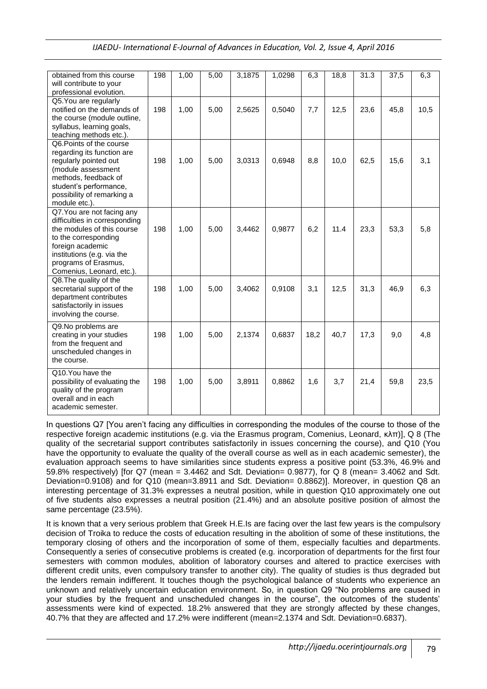| IJAEDU- International E-Journal of Advances in Education, Vol. 2, Issue 4, April 2016 |  |  |  |
|---------------------------------------------------------------------------------------|--|--|--|
|                                                                                       |  |  |  |

| obtained from this course<br>will contribute to your<br>professional evolution.                                                                                                                                          | 198 | 1,00 | 5,00 | 3,1875 | 1,0298 | 6,3  | 18,8 | 31.3 | 37,5 | 6,3  |
|--------------------------------------------------------------------------------------------------------------------------------------------------------------------------------------------------------------------------|-----|------|------|--------|--------|------|------|------|------|------|
| Q5. You are regularly<br>notified on the demands of<br>the course (module outline,<br>syllabus, learning goals,<br>teaching methods etc.).                                                                               | 198 | 1,00 | 5,00 | 2,5625 | 0,5040 | 7,7  | 12,5 | 23,6 | 45,8 | 10,5 |
| Q6. Points of the course<br>regarding its function are<br>regularly pointed out<br>(module assessment<br>methods, feedback of<br>student's performance,<br>possibility of remarking a<br>module etc.).                   | 198 | 1,00 | 5,00 | 3,0313 | 0,6948 | 8,8  | 10,0 | 62,5 | 15,6 | 3,1  |
| Q7. You are not facing any<br>difficulties in corresponding<br>the modules of this course<br>to the corresponding<br>foreign academic<br>institutions (e.g. via the<br>programs of Erasmus,<br>Comenius, Leonard, etc.). | 198 | 1,00 | 5,00 | 3,4462 | 0,9877 | 6,2  | 11.4 | 23,3 | 53,3 | 5,8  |
| Q8. The quality of the<br>secretarial support of the<br>department contributes<br>satisfactorily in issues<br>involving the course.                                                                                      | 198 | 1,00 | 5,00 | 3,4062 | 0,9108 | 3,1  | 12,5 | 31,3 | 46,9 | 6,3  |
| Q9.No problems are<br>creating in your studies<br>from the frequent and<br>unscheduled changes in<br>the course.                                                                                                         | 198 | 1,00 | 5,00 | 2,1374 | 0,6837 | 18,2 | 40,7 | 17,3 | 9,0  | 4,8  |
| Q10.You have the<br>possibility of evaluating the<br>quality of the program<br>overall and in each<br>academic semester.                                                                                                 | 198 | 1,00 | 5,00 | 3,8911 | 0,8862 | 1,6  | 3,7  | 21,4 | 59,8 | 23,5 |

In questions Q7 [You aren't facing any difficulties in corresponding the modules of the course to those of the respective foreign academic institutions (e.g. via the Erasmus program, Comenius, Leonard, κλπ)], Q 8 (The quality of the secretarial support contributes satisfactorily in issues concerning the course), and Q10 (You have the opportunity to evaluate the quality of the overall course as well as in each academic semester), the evaluation approach seems to have similarities since students express a positive point (53.3%, 46.9% and 59.8% respectively) [for Q7 (mean = 3.4462 and Sdt. Deviation= 0.9877), for Q 8 (mean= 3.4062 and Sdt. Deviation=0.9108) and for Q10 (mean=3.8911 and Sdt. Deviation= 0.8862)]. Moreover, in question Q8 an interesting percentage of 31.3% expresses a neutral position, while in question Q10 approximately one out of five students also expresses a neutral position (21.4%) and an absolute positive position of almost the same percentage (23.5%).

It is known that a very serious problem that Greek H.E.Is are facing over the last few years is the compulsory decision of Troika to reduce the costs of education resulting in the abolition of some of these institutions, the temporary closing of others and the incorporation of some of them, especially faculties and departments. Consequently a series of consecutive problems is created (e.g. incorporation of departments for the first four semesters with common modules, abolition of laboratory courses and altered to practice exercises with different credit units, even compulsory transfer to another city). The quality of studies is thus degraded but the lenders remain indifferent. It touches though the psychological balance of students who experience an unknown and relatively uncertain education environment. So, in question Q9 "No problems are caused in your studies by the frequent and unscheduled changes in the course", the outcomes of the students' assessments were kind of expected. 18.2% answered that they are strongly affected by these changes, 40.7% that they are affected and 17.2% were indifferent (mean=2.1374 and Sdt. Deviation=0.6837).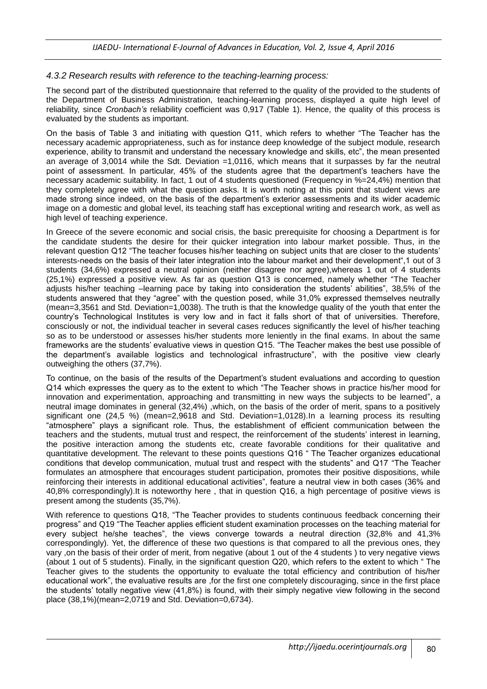#### *4.3.2 Research results with reference to the teaching-learning process:*

The second part of the distributed questionnaire that referred to the quality of the provided to the students of the Department of Business Administration, teaching-learning process, displayed a quite high level of reliability, since *Cronbach's* reliability coefficient was 0,917 (Table 1). Hence, the quality of this process is evaluated by the students as important.

On the basis of Table 3 and initiating with question Q11, which refers to whether "The Teacher has the necessary academic appropriateness, such as for instance deep knowledge of the subject module, research experience, ability to transmit and understand the necessary knowledge and skills, etc", the mean presented an average of 3,0014 while the Sdt. Deviation =1,0116, which means that it surpasses by far the neutral point of assessment. In particular, 45% of the students agree that the department's teachers have the necessary academic suitability. In fact, 1 out of 4 students questioned (Frequency in %=24,4%) mention that they completely agree with what the question asks. It is worth noting at this point that student views are made strong since indeed, on the basis of the department's exterior assessments and its wider academic image on a domestic and global level, its teaching staff has exceptional writing and research work, as well as high level of teaching experience.

In Greece of the severe economic and social crisis, the basic prerequisite for choosing a Department is for the candidate students the desire for their quicker integration into labour market possible. Thus, in the relevant question Q12 "The teacher focuses his/her teaching on subject units that are closer to the students' interests-needs on the basis of their later integration into the labour market and their development",1 out of 3 students (34,6%) expressed a neutral opinion (neither disagree nor agree),whereas 1 out of 4 students (25,1%) expressed a positive view. As far as question Q13 is concerned, namely whether "The Teacher adjusts his/her teaching –learning pace by taking into consideration the students' abilities", 38,5% of the students answered that they "agree" with the question posed, while 31,0% expressed themselves neutrally (mean=3,3561 and Std. Deviation=1,0038). The truth is that the knowledge quality of the youth that enter the country's Technological Institutes is very low and in fact it falls short of that of universities. Therefore, consciously or not, the individual teacher in several cases reduces significantly the level of his/her teaching so as to be understood or assesses his/her students more leniently in the final exams. In about the same frameworks are the students' evaluative views in question Q15. "The Teacher makes the best use possible of the department's available logistics and technological infrastructure", with the positive view clearly outweighing the others (37,7%).

To continue, on the basis of the results of the Department's student evaluations and according to question Q14 which expresses the query as to the extent to which "The Teacher shows in practice his/her mood for innovation and experimentation, approaching and transmitting in new ways the subjects to be learned", a neutral image dominates in general (32,4%), which, on the basis of the order of merit, spans to a positively significant one (24,5 %) (mean=2,9618 and Std. Deviation=1,0128).In a learning process its resulting "atmosphere" plays a significant role. Thus, the establishment of efficient communication between the teachers and the students, mutual trust and respect, the reinforcement of the students' interest in learning, the positive interaction among the students etc, create favorable conditions for their qualitative and quantitative development. The relevant to these points questions Q16 " The Teacher organizes educational conditions that develop communication, mutual trust and respect with the students" and Q17 "The Teacher formulates an atmosphere that encourages student participation, promotes their positive dispositions, while reinforcing their interests in additional educational activities", feature a neutral view in both cases (36% and 40,8% correspondingly).It is noteworthy here , that in question Q16, a high percentage of positive views is present among the students (35,7%).

With reference to questions Q18, "The Teacher provides to students continuous feedback concerning their progress" and Q19 "The Teacher applies efficient student examination processes on the teaching material for every subject he/she teaches", the views converge towards a neutral direction (32,8% and 41,3% correspondingly). Yet, the difference of these two questions is that compared to all the previous ones, they vary ,on the basis of their order of merit, from negative (about 1 out of the 4 students ) to very negative views (about 1 out of 5 students). Finally, in the significant question Q20, which refers to the extent to which " The Teacher gives to the students the opportunity to evaluate the total efficiency and contribution of his/her educational work", the evaluative results are ,for the first one completely discouraging, since in the first place the students' totally negative view (41,8%) is found, with their simply negative view following in the second place (38,1%)(mean=2,0719 and Std. Deviation=0,6734).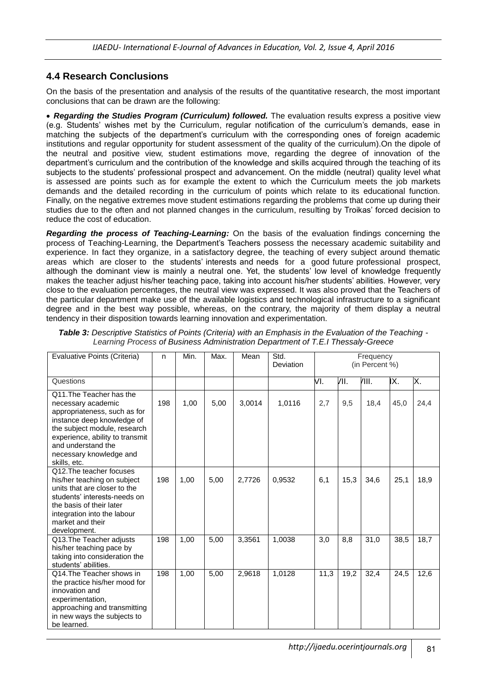#### **4.4 Research Conclusions**

On the basis of the presentation and analysis of the results of the quantitative research, the most important conclusions that can be drawn are the following:

 *Regarding the Studies Program (Curriculum) followed.* The evaluation results express a positive view (e.g. Students' wishes met by the Curriculum, regular notification of the curriculum's demands, ease in matching the subjects of the department's curriculum with the corresponding ones of foreign academic institutions and regular opportunity for student assessment of the quality of the curriculum).On the dipole of the neutral and positive view, student estimations move, regarding the degree of innovation of the department's curriculum and the contribution of the knowledge and skills acquired through the teaching of its subjects to the students' professional prospect and advancement. On the middle (neutral) quality level what is assessed are points such as for example the extent to which the Curriculum meets the job markets demands and the detailed recording in the curriculum of points which relate to its educational function. Finally, on the negative extremes move student estimations regarding the problems that come up during their studies due to the often and not planned changes in the curriculum, resulting by Troikas' forced decision to reduce the cost of education.

*Regarding the process of Teaching-Learning:* On the basis of the evaluation findings concerning the process of Teaching-Learning, the Department's Teachers possess the necessary academic suitability and experience. In fact they organize, in a satisfactory degree, the teaching of every subject around thematic areas which are closer to the students' interests and needs for a good future professional prospect, although the dominant view is mainly a neutral one. Yet, the students' low level of knowledge frequently makes the teacher adjust his/her teaching pace, taking into account his/her students' abilities. However, very close to the evaluation percentages, the neutral view was expressed. It was also proved that the Teachers of the particular department make use of the available logistics and technological infrastructure to a significant degree and in the best way possible, whereas, on the contrary, the majority of them display a neutral tendency in their disposition towards learning innovation and experimentation.

| Evaluative Points (Criteria)                                                                                                                                                                                                                     | n   | Min. | Max. | Mean   | Std.<br>Deviation | Frequency<br>(in Percent %) |      |       |      |      |  |
|--------------------------------------------------------------------------------------------------------------------------------------------------------------------------------------------------------------------------------------------------|-----|------|------|--------|-------------------|-----------------------------|------|-------|------|------|--|
| Questions                                                                                                                                                                                                                                        |     |      |      |        |                   | VI.                         | VII. | /III. | IX.  | Х.   |  |
| Q11. The Teacher has the<br>necessary academic<br>appropriateness, such as for<br>instance deep knowledge of<br>the subject module, research<br>experience, ability to transmit<br>and understand the<br>necessary knowledge and<br>skills, etc. | 198 | 1,00 | 5,00 | 3,0014 | 1,0116            | 2,7                         | 9,5  | 18,4  | 45,0 | 24,4 |  |
| Q12. The teacher focuses<br>his/her teaching on subject<br>units that are closer to the<br>students' interests-needs on<br>the basis of their later<br>integration into the labour<br>market and their<br>development.                           | 198 | 1,00 | 5,00 | 2,7726 | 0,9532            | 6,1                         | 15,3 | 34,6  | 25,1 | 18,9 |  |
| Q13. The Teacher adjusts<br>his/her teaching pace by<br>taking into consideration the<br>students' abilities.                                                                                                                                    | 198 | 1,00 | 5,00 | 3,3561 | 1,0038            | 3,0                         | 8,8  | 31,0  | 38,5 | 18,7 |  |
| Q14. The Teacher shows in<br>the practice his/her mood for<br>innovation and<br>experimentation,<br>approaching and transmitting<br>in new ways the subjects to<br>be learned.                                                                   | 198 | 1,00 | 5,00 | 2,9618 | 1,0128            | 11,3                        | 19,2 | 32,4  | 24,5 | 12,6 |  |

*Table 3: Descriptive Statistics of Points (Criteria) with an Emphasis in the Evaluation of the Teaching - Learning Process of Business Administration Department of T.E.I Thessaly-Greece*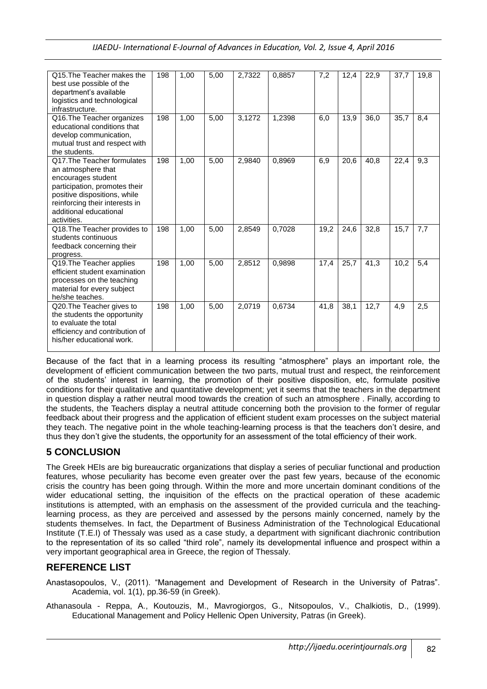| Q15. The Teacher makes the<br>best use possible of the<br>department's available<br>logistics and technological<br>infrastructure.                                                                                  | 198 | 1,00 | 5,00 | 2,7322 | 0,8857 | 7,2  | 12,4 | 22,9 | 37,7 | 19,8 |
|---------------------------------------------------------------------------------------------------------------------------------------------------------------------------------------------------------------------|-----|------|------|--------|--------|------|------|------|------|------|
| Q16. The Teacher organizes<br>educational conditions that<br>develop communication,<br>mutual trust and respect with<br>the students.                                                                               | 198 | 1,00 | 5,00 | 3,1272 | 1,2398 | 6,0  | 13,9 | 36,0 | 35,7 | 8,4  |
| Q17. The Teacher formulates<br>an atmosphere that<br>encourages student<br>participation, promotes their<br>positive dispositions, while<br>reinforcing their interests in<br>additional educational<br>activities. | 198 | 1,00 | 5,00 | 2,9840 | 0,8969 | 6,9  | 20,6 | 40,8 | 22,4 | 9,3  |
| Q18. The Teacher provides to<br>students continuous<br>feedback concerning their<br>progress.                                                                                                                       | 198 | 1,00 | 5,00 | 2,8549 | 0,7028 | 19,2 | 24,6 | 32,8 | 15,7 | 7,7  |
| Q19. The Teacher applies<br>efficient student examination<br>processes on the teaching<br>material for every subject<br>he/she teaches.                                                                             | 198 | 1,00 | 5,00 | 2.8512 | 0,9898 | 17,4 | 25,7 | 41,3 | 10,2 | 5,4  |
| Q20. The Teacher gives to<br>the students the opportunity<br>to evaluate the total<br>efficiency and contribution of<br>his/her educational work.                                                                   | 198 | 1,00 | 5,00 | 2,0719 | 0,6734 | 41,8 | 38,1 | 12,7 | 4,9  | 2,5  |

Because of the fact that in a learning process its resulting "atmosphere" plays an important role, the development of efficient communication between the two parts, mutual trust and respect, the reinforcement of the students' interest in learning, the promotion of their positive disposition, etc, formulate positive conditions for their qualitative and quantitative development; yet it seems that the teachers in the department in question display a rather neutral mood towards the creation of such an atmosphere . Finally, according to the students, the Teachers display a neutral attitude concerning both the provision to the former of regular feedback about their progress and the application of efficient student exam processes on the subject material they teach. The negative point in the whole teaching-learning process is that the teachers don't desire, and thus they don't give the students, the opportunity for an assessment of the total efficiency of their work.

# **5 CONCLUSION**

The Greek HEIs are big bureaucratic organizations that display a series of peculiar functional and production features, whose peculiarity has become even greater over the past few years, because of the economic crisis the country has been going through. Within the more and more uncertain dominant conditions of the wider educational setting, the inquisition of the effects on the practical operation of these academic institutions is attempted, with an emphasis on the assessment of the provided curricula and the teachinglearning process, as they are perceived and assessed by the persons mainly concerned, namely by the students themselves. In fact, the Department of Business Administration of the Technological Educational Institute (T.E.I) of Thessaly was used as a case study, a department with significant diachronic contribution to the representation of its so called "third role", namely its developmental influence and prospect within a very important geographical area in Greece, the region of Thessaly.

# **REFERENCE LIST**

Αnastasopoulos, V., (2011). "Management and Development of Research in the University of Patras". Academia, vol. 1(1), pp.36-59 (in Greek).

Athanasoula - Reppa, Α., Κoutouzis, Μ., Μavrogiorgos, G., Νitsopoulos, V., Chalkiotis, D., (1999). Educational Management and Policy Hellenic Open University, Patras (in Greek).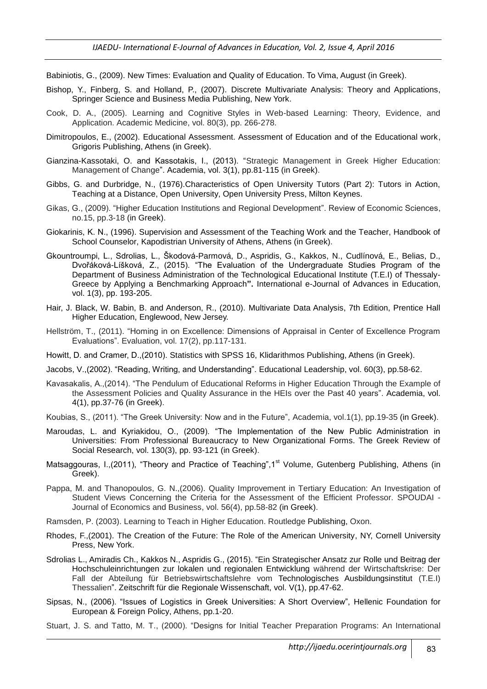Babiniotis, G., (2009). New Times: Evaluation and Quality of Education. Το Vima, August (in Greek).

- Bishop, Y., Finberg, S. and Holland, P., (2007). Discrete Multivariate Analysis: Theory and Applications, Springer Science and Business Media Publishing, New York.
- Cook, D. A., (2005). Learning and Cognitive Styles in Web-based Learning: Theory, Evidence, and Application. Academic Medicine, vol. 80(3), pp. 266-278.
- Dimitropoulos, E., (2002). Educational Assessment. Assessment of Education and of the Educational work, Grigoris Publishing, Athens (in Greek).
- Gianzina-Kassotaki, O. and Kassotakis, I., (2013). "Strategic Management in Greek Higher Education: Management of Change". Academia, vol. 3(1), pp.81-115 (in Greek).
- Gibbs, G. and Durbridge, N., (1976).Characteristics of Open University Tutors (Part 2): Tutors in Action, Teaching at a Distance, Open University, Open University Press, Milton Keynes.
- Gikas, G., (2009). "Higher Education Institutions and Regional Development". Review of Economic Sciences, no.15, pp.3-18 (in Greek).
- Giokarinis, Κ. Ν., (1996). Supervision and Assessment of the Teaching Work and the Teacher, Handbook of School Counselor, Kapodistrian University of Athens, Athens (in Greek).
- Gkountroumpi, L., Sdrolias, L., Škodová-Parmová, D., Aspridis, G., Kakkos, N., Cudlínová, E., Belias, D., Dvořáková-Líšková, Z., (2015). "The Evaluation of the Undergraduate Studies Program of the Department of Business Administration of the Technological Educational Institute (T.E.I) of Thessaly-Greece by Applying a Benchmarking Approach**".** International e-Journal of Advances in Education, vol. 1(3), pp. 193-205.
- Hair, J. Black, W. Babin, B. and Anderson, R., (2010). Multivariate Data Analysis, 7th Edition, Prentice Hall Higher Education, Englewood, New Jersey.
- Hellström, T., (2011). "Homing in on Excellence: Dimensions of Appraisal in Center of Excellence Program Evaluations". Evaluation, vol. 17(2), pp.117-131.
- Ηowitt, D. and Cramer, D.,(2010). Statistics with SPSS 16, Klidarithmos Publishing, Athens (in Greek).
- Jacobs, V.,(2002). "Reading, Writing, and Understanding". Educational Leadership, vol. 60(3), pp.58-62.
- Κavasakalis, A.,(2014). "The Pendulum of Educational Reforms in Higher Education Through the Example of the Assessment Policies and Quality Assurance in the HEIs over the Past 40 years". Academia, vol. 4(1), pp.37-76 (in Greek).
- Koubias, S., (2011). "The Greek University: Now and in the Future", Academia, vol.1(1), pp.19-35 (in Greek).
- Maroudas, L. and Κyriakidou, Ο., (2009). "The Implementation of the New Public Administration in Universities: From Professional Bureaucracy to New Organizational Forms. The Greek Review of Social Research, vol. 130(3), pp. 93-121 (in Greek).
- Matsaggouras, I.,(2011), "Theory and Practice of Teaching", 1<sup>st</sup> Volume, Gutenberg Publishing, Athens (in Greek).
- Pappa, Μ. and Thanopoulos, G. N.,(2006). Quality Improvement in Tertiary Education: An Investigation of Student Views Concerning the Criteria for the Assessment of the Efficient Professor. SPOUDAI - Journal of Economics and Business, vol. 56(4), pp.58-82 (in Greek).

Ramsden, P. (2003). Learning to Teach in Higher Education. Routledge Publishing, Oxon.

- Rhodes, F.,(2001). The Creation of the Future: The Role of the American University, NY, Cornell University Press, New York.
- Sdrolias L., Amiradis Ch., Kakkos N., Aspridis G., (2015). "Ein Strategischer Ansatz zur Rolle und Beitrag der Hochschuleinrichtungen zur lokalen und regionalen Entwicklung während der Wirtschaftskrise: Der Fall der Abteilung für Betriebswirtschaftslehre vom Technologisches Ausbildungsinstitut (T.E.I) Thessalien". Zeitschrift für die Regionale Wissenschaft, vol. V(1), pp.47-62.
- Sipsas, Ν., (2006). "Issues of Logistics in Greek Universities: A Short Overview", [Hellenic Foundation for](http://www.eliamep.gr/en/)  [European & Foreign Policy,](http://www.eliamep.gr/en/) Athens, pp.1-20.
- Stuart, J. S. and Tatto, M. T., (2000). "Designs for Initial Teacher Preparation Programs: An International